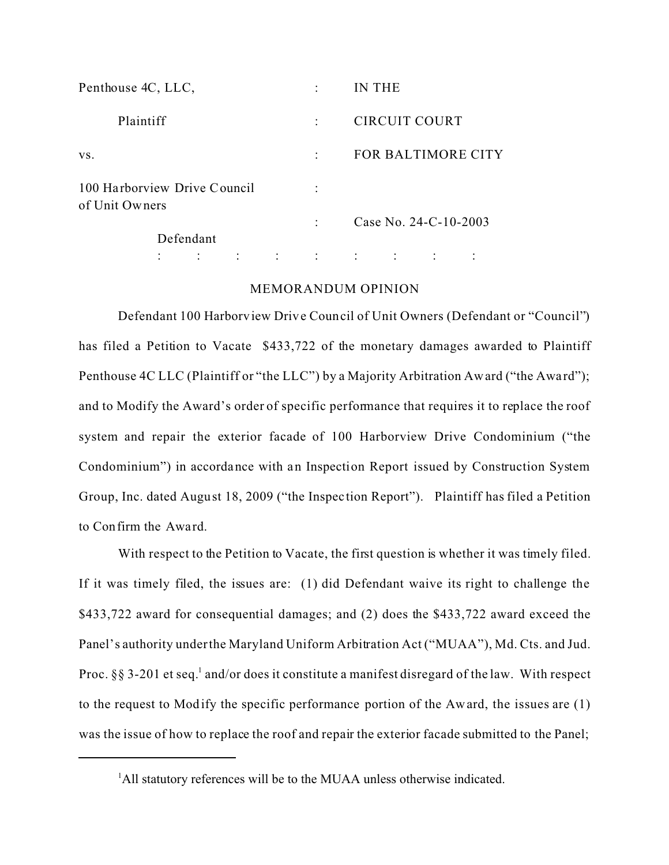| Penthouse 4C, LLC,                             |  |  |  |           | IN THE        |                       |           |                    |
|------------------------------------------------|--|--|--|-----------|---------------|-----------------------|-----------|--------------------|
| Plaintiff                                      |  |  |  |           | CIRCUIT COURT |                       |           |                    |
| VS.                                            |  |  |  | $\bullet$ |               |                       |           | FOR BALTIMORE CITY |
| 100 Harborview Drive Council<br>of Unit Owners |  |  |  |           |               |                       |           |                    |
|                                                |  |  |  |           |               | Case No. 24-C-10-2003 |           |                    |
| Defendant                                      |  |  |  |           |               |                       |           |                    |
|                                                |  |  |  |           | $\bullet$     | $\bullet$             | $\bullet$ |                    |

## MEMORANDUM OPINION

Defendant 100 Harborview Drive Council of Unit Owners (Defendant or "Council") has filed a Petition to Vacate \$433,722 of the monetary damages awarded to Plaintiff Penthouse 4C LLC (Plaintiff or "the LLC") by a Majority Arbitration Award ("the Award"); and to Modify the Award's order of specific performance that requires it to replace the roof system and repair the exterior facade of 100 Harborview Drive Condominium ("the Condominium") in accordance with an Inspection Report issued by Construction System Group, Inc. dated August 18, 2009 ("the Inspec tion Report"). Plaintiff has filed a Petition to Confirm the Award.

With respect to the Petition to Vacate, the first question is whether it was timely filed. If it was timely filed, the issues are: (1) did Defendant waive its right to challenge the \$433,722 award for consequential damages; and (2) does the \$433,722 award exceed the Panel's authority under the Maryland Uniform Arbitration Act ("MUAA"), Md. Cts. and Jud. Proc. §§ 3-201 et seq.<sup>1</sup> and/or does it constitute a manifest disregard of the law. With respect to the request to Modify the specific performance portion of the Award, the issues are (1) was the issue of how to replace the roof and repair the exterior facade submitted to the Panel;

<sup>&</sup>lt;sup>1</sup>All statutory references will be to the MUAA unless otherwise indicated.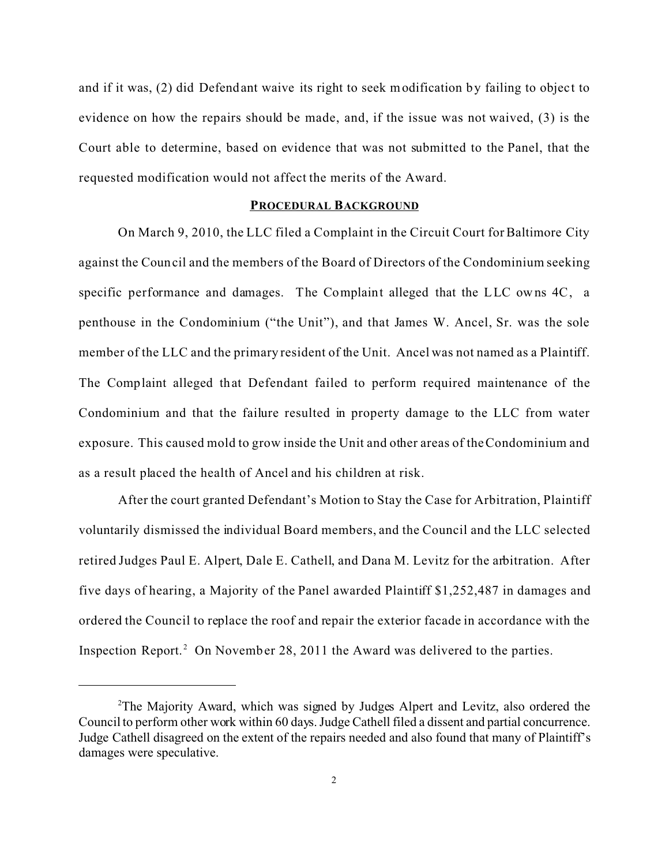and if it was, (2) did Defendant waive its right to seek modification by failing to object to evidence on how the repairs should be made, and, if the issue was not waived, (3) is the Court able to determine, based on evidence that was not submitted to the Panel, that the requested modification would not affect the merits of the Award.

#### **PROCEDURAL BACKGROUND**

On March 9, 2010, the LLC filed a Complaint in the Circuit Court for Baltimore City against the Council and the members of the Board of Directors of the Condominium seeking specific performance and damages. The Complaint alleged that the LLC owns 4C, a penthouse in the Condominium ("the Unit"), and that James W. Ancel, Sr. was the sole member of the LLC and the primary resident of the Unit. Ancel was not named as a Plaintiff. The Complaint alleged that Defendant failed to perform required maintenance of the Condominium and that the failure resulted in property damage to the LLC from water exposure. This caused mold to grow inside the Unit and other areas of the Condominium and as a result placed the health of Ancel and his children at risk.

After the court granted Defendant's Motion to Stay the Case for Arbitration, Plaintiff voluntarily dismissed the individual Board members, and the Council and the LLC selected retired Judges Paul E. Alpert, Dale E. Cathell, and Dana M. Levitz for the arbitration. After five days of hearing, a Majority of the Panel awarded Plaintiff \$1,252,487 in damages and ordered the Council to replace the roof and repair the exterior facade in accordance with the Inspection Report.<sup>2</sup> On November 28, 2011 the Award was delivered to the parties.

<sup>2</sup>The Majority Award, which was signed by Judges Alpert and Levitz, also ordered the Council to perform other work within 60 days. Judge Cathell filed a dissent and partial concurrence. Judge Cathell disagreed on the extent of the repairs needed and also found that many of Plaintiff's damages were speculative.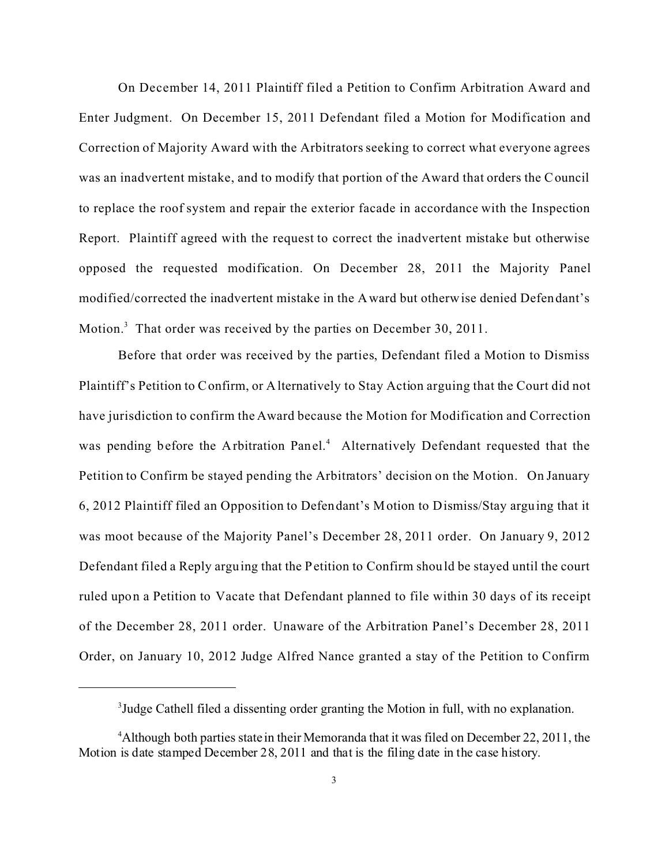On December 14, 2011 Plaintiff filed a Petition to Confirm Arbitration Award and Enter Judgment. On December 15, 2011 Defendant filed a Motion for Modification and Correction of Majority Award with the Arbitrators seeking to correct what everyone agrees was an inadvertent mistake, and to modify that portion of the Award that orders the Council to replace the roof system and repair the exterior facade in accordance with the Inspection Report. Plaintiff agreed with the request to correct the inadvertent mistake but otherwise opposed the requested modification. On December 28, 2011 the Majority Panel modified/corrected the inadvertent mistake in the Award but otherwise denied Defendant's Motion.<sup>3</sup> That order was received by the parties on December 30, 2011.

Before that order was received by the parties, Defendant filed a Motion to Dismiss Plaintiff's Petition to Confirm, or Alternatively to Stay Action arguing that the Court did not have jurisdiction to confirm the Award because the Motion for Modification and Correction was pending before the Arbitration Panel.<sup>4</sup> Alternatively Defendant requested that the Petition to Confirm be stayed pending the Arbitrators' decision on the Motion. On January 6, 2012 Plaintiff filed an Opposition to Defendant's Motion to Dismiss/Stay arguing that it was moot because of the Majority Panel's December 28, 2011 order. On January 9, 2012 Defendant filed a Reply arguing that the Petition to Confirm should be stayed until the court ruled upon a Petition to Vacate that Defendant planned to file within 30 days of its receipt of the December 28, 2011 order. Unaware of the Arbitration Panel's December 28, 2011 Order, on January 10, 2012 Judge Alfred Nance granted a stay of the Petition to Confirm

<sup>&</sup>lt;sup>3</sup>Judge Cathell filed a dissenting order granting the Motion in full, with no explanation.

<sup>4</sup>Although both parties state in their Memoranda that it was filed on December 22, 2011, the Motion is date stamped December 28, 2011 and that is the filing date in the case history.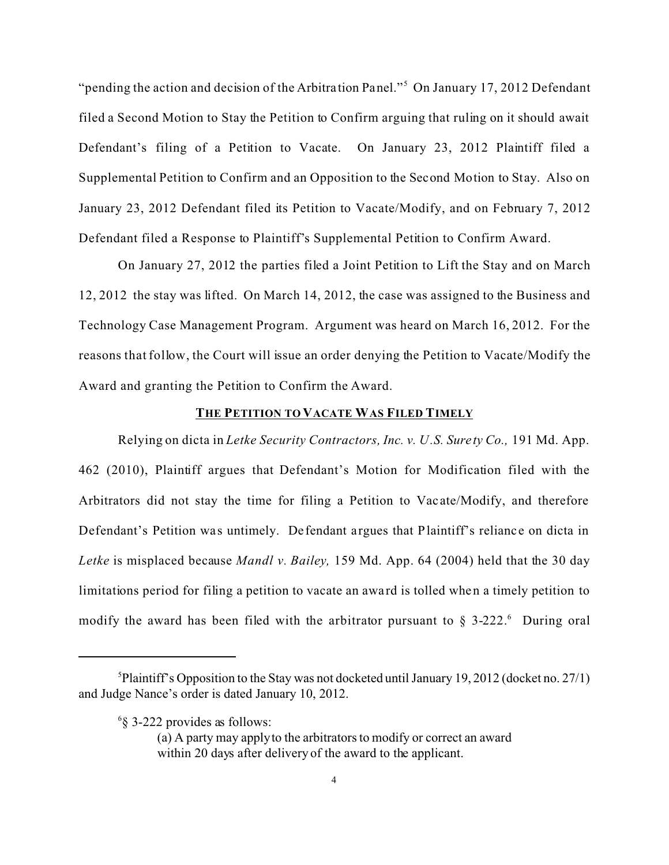"pending the action and decision of the Arbitration Panel."<sup>5</sup> On January 17, 2012 Defendant filed a Second Motion to Stay the Petition to Confirm arguing that ruling on it should await Defendant's filing of a Petition to Vacate. On January 23, 2012 Plaintiff filed a Supplemental Petition to Confirm and an Opposition to the Second Motion to Stay. Also on January 23, 2012 Defendant filed its Petition to Vacate/Modify, and on February 7, 2012 Defendant filed a Response to Plaintiff's Supplemental Petition to Confirm Award.

On January 27, 2012 the parties filed a Joint Petition to Lift the Stay and on March 12, 2012 the stay was lifted. On March 14, 2012, the case was assigned to the Business and Technology Case Management Program. Argument was heard on March 16, 2012. For the reasons that follow, the Court will issue an order denying the Petition to Vacate/Modify the Award and granting the Petition to Confirm the Award.

#### **THE PETITION TO VACATE WAS FILED TIMELY**

Relying on dicta in *Letke Security Contractors, Inc. v. U.S. Surety Co.,* 191 Md. App. 462 (2010), Plaintiff argues that Defendant's Motion for Modification filed with the Arbitrators did not stay the time for filing a Petition to Vac ate/Modify, and therefore Defendant's Petition was untimely. Defendant argues that Plaintiff's reliance on dicta in *Letke* is misplaced because *Mandl v. Bailey,* 159 Md. App. 64 (2004) held that the 30 day limitations period for filing a petition to vacate an award is tolled when a timely petition to modify the award has been filed with the arbitrator pursuant to  $\S$  3-222. During oral

<sup>&</sup>lt;sup>5</sup>Plaintiff's Opposition to the Stay was not docketed until January 19, 2012 (docket no. 27/1) and Judge Nance's order is dated January 10, 2012.

<sup>6</sup> § 3-222 provides as follows:

<sup>(</sup>a) A party may apply to the arbitrators to modify or correct an award within 20 days after delivery of the award to the applicant.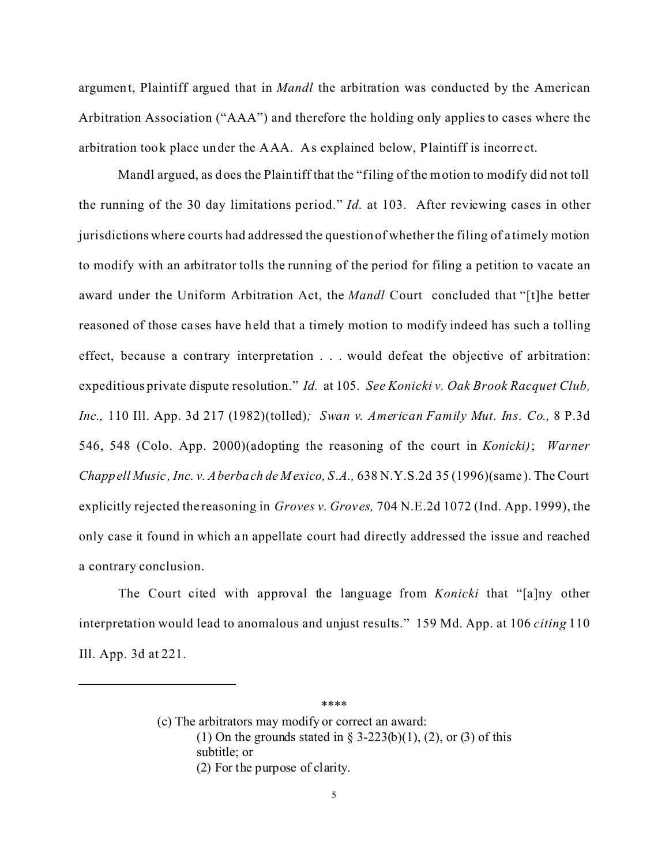argument, Plaintiff argued that in *Mandl* the arbitration was conducted by the American Arbitration Association ("AAA") and therefore the holding only applies to cases where the arbitration took place under the AAA. As explained below, Plaintiff is incorre ct.

Mandl argued, as does the Plaintiff that the "filing of the motion to modify did not toll the running of the 30 day limitations period." *Id.* at 103. After reviewing cases in other jurisdictions where courts had addressed the question of whether the filing of a timely motion to modify with an arbitrator tolls the running of the period for filing a petition to vacate an award under the Uniform Arbitration Act, the *Mandl* Court concluded that "[t]he better reasoned of those ca ses have held that a timely motion to modify indeed has such a tolling effect, because a contrary interpretation . . . would defeat the objective of arbitration: expeditious private dispute resolution." *Id.* at 105. *See Konicki v. Oak Brook Racquet Club, Inc.,* 110 Ill. App. 3d 217 (1982)(tolled)*; Swan v. American Family Mut. Ins. Co.,* 8 P.3d 546, 548 (Colo. App. 2000)(adopting the reasoning of the court in *Konicki)*; *Warner Chappell Music , Inc. v. Aberbach de M exico, S.A.,* 638 N.Y.S.2d 35 (1996)(same ). The Court explicitly rejected the reasoning in *Groves v. Groves,* 704 N.E.2d 1072 (Ind. App. 1999), the only case it found in which an appellate court had directly addressed the issue and reached a contrary conclusion.

The Court cited with approval the language from *Konicki* that "[a]ny other interpretation would lead to anomalous and unjust results." 159 Md. App. at 106 *citing* 110 Ill. App. 3d at 221.

> (c) The arbitrators may modify or correct an award: (1) On the grounds stated in § 3-223(b)(1), (2), or (3) of this subtitle; or (2) For the purpose of clarity.

\*\*\*\*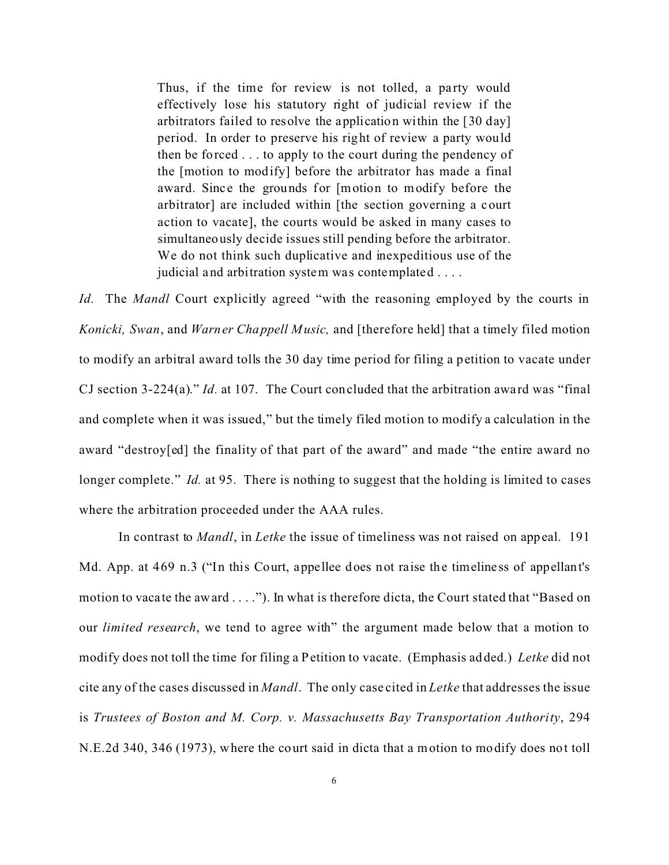Thus, if the time for review is not tolled, a party would effectively lose his statutory right of judicial review if the arbitrators failed to resolve the application within the [30 day] period. In order to preserve his right of review a party would then be forced . . . to apply to the court during the pendency of the [motion to modify] before the arbitrator has made a final award. Since the grounds for [motion to modify before the arbitrator] are included within [the section governing a court action to vacate], the courts would be asked in many cases to simultaneously decide issues still pending before the arbitrator. We do not think such duplicative and inexpeditious use of the judicial and arbitration system was contemplated . . . .

*Id.* The *Mandl* Court explicitly agreed "with the reasoning employed by the courts in *Konicki, Swan*, and *Warner Chappell Music,* and [therefore held] that a timely filed motion to modify an arbitral award tolls the 30 day time period for filing a petition to vacate under CJ section 3-224(a)." *Id.* at 107. The Court concluded that the arbitration award was "final" and complete when it was issued," but the timely filed motion to modify a calculation in the award "destroy[ed] the finality of that part of the award" and made "the entire award no longer complete." *Id.* at 95. There is nothing to suggest that the holding is limited to cases where the arbitration proceeded under the AAA rules.

In contrast to *Mandl*, in *Letke* the issue of timeliness was not raised on appeal. 191 Md. App. at 469 n.3 ("In this Court, appellee does not raise the timeliness of appellant's motion to vacate the award . . . ."). In what is therefore dicta, the Court stated that "Based on our *limited research*, we tend to agree with" the argument made below that a motion to modify does not toll the time for filing a Petition to vacate. (Emphasis added.) *Letke* did not cite any of the cases discussed in *Mandl*. The only case cited in *Letke* that addresses the issue is *Trustees of Boston and M. Corp. v. Massachusetts Bay Transportation Authority*, 294 N.E.2d 340, 346 (1973), where the court said in dicta that a motion to modify does not toll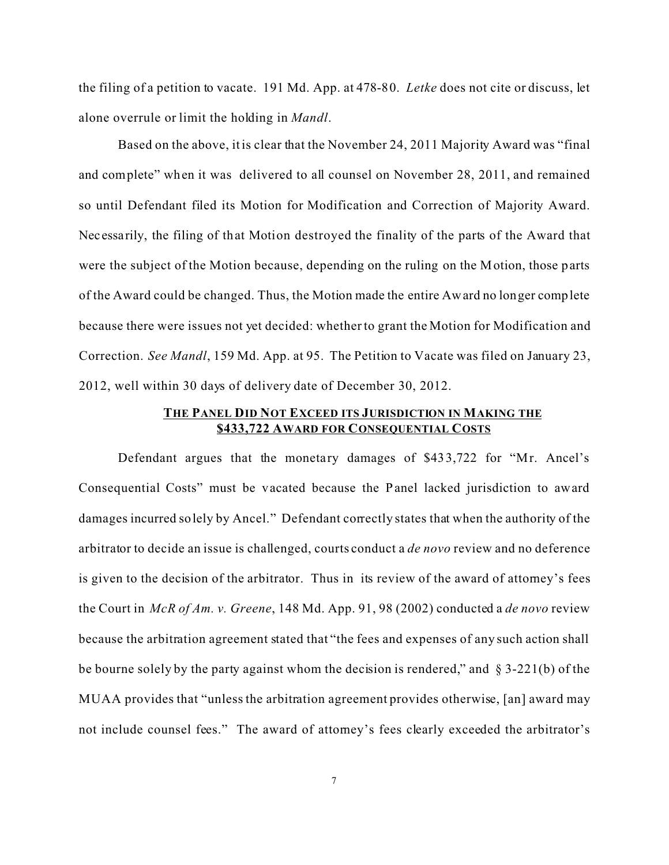the filing of a petition to vacate. 191 Md. App. at 478-80. *Letke* does not cite or discuss, let alone overrule or limit the holding in *Mandl*.

Based on the above, it is clear that the November 24, 2011 Majority Award was "final and complete" when it was delivered to all counsel on November 28, 2011, and remained so until Defendant filed its Motion for Modification and Correction of Majority Award. Necessarily, the filing of that Motion destroyed the finality of the parts of the Award that were the subject of the Motion because, depending on the ruling on the Motion, those parts of the Award could be changed. Thus, the Motion made the entire Award no longer complete because there were issues not yet decided: whether to grant the Motion for Modification and Correction. *See Mandl*, 159 Md. App. at 95. The Petition to Vacate was filed on January 23, 2012, well within 30 days of delivery date of December 30, 2012.

## **THE PANEL DID NOT EXCEED ITS JURISDICTION IN MAKING THE \$433,722 AWARD FOR CONSEQUENTIAL COSTS**

Defendant argues that the monetary damages of \$433,722 for "Mr. Ancel's Consequential Costs" must be vacated because the Panel lacked jurisdiction to award damages incurred solely by Ancel." Defendant correctly states that when the authority of the arbitrator to decide an issue is challenged, courts conduct a *de novo* review and no deference is given to the decision of the arbitrator. Thus in its review of the award of attorney's fees the Court in *McR of Am. v. Greene*, 148 Md. App. 91, 98 (2002) conducted a *de novo* review because the arbitration agreement stated that "the fees and expenses of any such action shall be bourne solely by the party against whom the decision is rendered," and § 3-221(b) of the MUAA provides that "unless the arbitration agreement provides otherwise, [an] award may not include counsel fees." The award of attorney's fees clearly exceeded the arbitrator's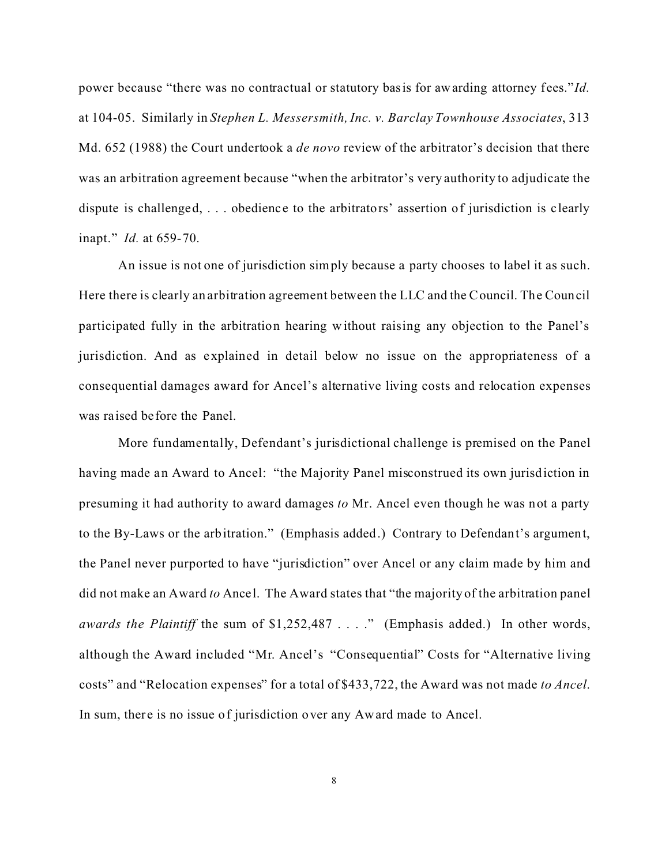power because "there was no contractual or statutory basis for awarding attorney fees."*Id.* at 104-05. Similarly in *Stephen L. Messersmith, Inc. v. Barclay Townhouse Associates*, 313 Md. 652 (1988) the Court undertook a *de novo* review of the arbitrator's decision that there was an arbitration agreement because "when the arbitrator's very authority to adjudicate the dispute is challenged, ... obedience to the arbitrators' assertion of jurisdiction is clearly inapt." *Id.* at 659-70.

An issue is not one of jurisdiction simply because a party chooses to label it as such. Here there is clearly an arbitration agreement between the LLC and the Council. The Council participated fully in the arbitration hearing without raising any objection to the Panel's jurisdiction. And as explained in detail below no issue on the appropriateness of a consequential damages award for Ancel's alternative living costs and relocation expenses was raised before the Panel.

More fundamentally, Defendant's jurisdictional challenge is premised on the Panel having made an Award to Ancel: "the Majority Panel misconstrued its own jurisdiction in presuming it had authority to award damages *to* Mr. Ancel even though he was not a party to the By-Laws or the arbitration." (Emphasis added.) Contrary to Defendant's argument, the Panel never purported to have "jurisdiction" over Ancel or any claim made by him and did not make an Award *to* Ancel. The Award states that "the majority of the arbitration panel *awards the Plaintiff* the sum of \$1,252,487 . . . ." (Emphasis added.) In other words, although the Award included "Mr. Ancel's "Consequential" Costs for "Alternative living costs" and "Relocation expenses" for a total of \$433,722, the Award was not made *to Ancel*. In sum, there is no issue of jurisdiction over any Award made to Ancel.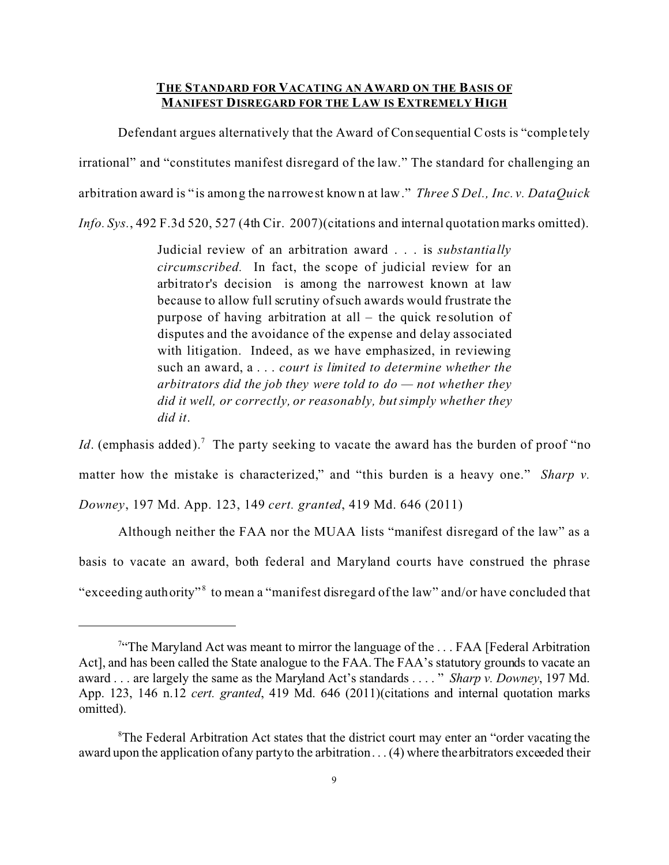## **THE STANDARD FOR VACATING AN AWARD ON THE BASIS OF MANIFEST DISREGARD FOR THE LAW IS EXTREMELY HIGH**

Defendant argues alternatively that the Award of Consequential Costs is "comple tely irrational" and "constitutes manifest disregard of the law." The standard for challenging an arbitration award is " is among the na rrowest known at law." *Three S Del., Inc. v. DataQuick Info. Sys.*, 492 F.3d 520, 527 (4th Cir. 2007)(citations and internal quotation marks omitted).

> Judicial review of an arbitration award . . . is *substantially circumscribed.* In fact, the scope of judicial review for an arbitrator's decision is among the narrowest known at law because to allow full scrutiny of such awards would frustrate the purpose of having arbitration at all – the quick re solution of disputes and the avoidance of the expense and delay associated with litigation. Indeed, as we have emphasized, in reviewing such an award, a . . . *court is limited to determine whether the arbitrators did the job they were told to do — not whether they did it well, or correctly, or reasonably, but simply whether they did it*.

*Id*. (emphasis added).<sup>7</sup> The party seeking to vacate the award has the burden of proof "no matter how the mistake is characterized," and "this burden is a heavy one." *Sharp v. Downey*, 197 Md. App. 123, 149 *cert. granted*, 419 Md. 646 (2011)

Although neither the FAA nor the MUAA lists "manifest disregard of the law" as a basis to vacate an award, both federal and Maryland courts have construed the phrase "exceeding authority"<sup>8</sup> to mean a "manifest disregard of the law" and/or have concluded that

<sup>&</sup>lt;sup>7</sup> The Maryland Act was meant to mirror the language of the ... FAA [Federal Arbitration<sup>7</sup> Act], and has been called the State analogue to the FAA. The FAA's statutory grounds to vacate an award . . . are largely the same as the Maryland Act's standards . . . . " *Sharp v. Downey*, 197 Md. App. 123, 146 n.12 *cert. granted*, 419 Md. 646 (2011)(citations and internal quotation marks omitted).

 ${}^8$ The Federal Arbitration Act states that the district court may enter an "order vacating the award upon the application of any party to the arbitration . . . (4) where the arbitrators exceeded their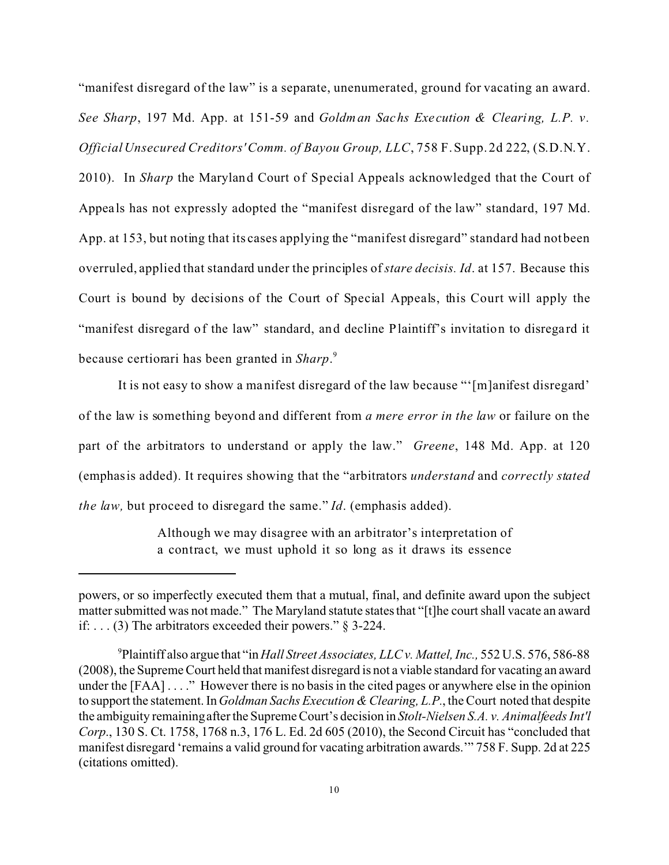"manifest disregard of the law" is a separate, unenumerated, ground for vacating an award. *See Sharp*, 197 Md. App. at 151-59 and *Goldman Sachs Exe cution & Clearing, L.P. v. Official Unsecured Creditors' Comm. of Bayou Group, LLC*, 758 F. Supp. 2d 222, (S.D.N.Y. 2010). In *Sharp* the Maryland Court of Special Appeals acknowledged that the Court of Appeals has not expressly adopted the "manifest disregard of the law" standard, 197 Md. App. at 153, but noting that its cases applying the "manifest disregard" standard had not been overruled, applied that standard under the principles of *stare decisis. Id*. at 157. Because this Court is bound by decisions of the Court of Special Appeals, this Court will apply the "manifest disregard of the law" standard, and decline Plaintiff's invitation to disregard it because certiorari has been granted in *Sharp*. 9

It is not easy to show a manifest disregard of the law because "'[m]anifest disregard' of the law is something beyond and different from *a mere error in the law* or failure on the part of the arbitrators to understand or apply the law." *Greene*, 148 Md. App. at 120 (emphasis added). It requires showing that the "arbitrators *understand* and *correctly stated the law,* but proceed to disregard the same." *Id*. (emphasis added).

> Although we may disagree with an arbitrator's interpretation of a contract, we must uphold it so long as it draws its essence

powers, or so imperfectly executed them that a mutual, final, and definite award upon the subject matter submitted was not made." The Maryland statute states that "[t]he court shall vacate an award if: . . . (3) The arbitrators exceeded their powers." § 3-224.

<sup>9</sup>Plaintiff also argue that "in *Hall Street Associates, LLC v. Mattel, Inc.,* 552 U.S. 576, 586-88 (2008), the Supreme Court held that manifest disregard is not a viable standard for vacating an award under the [FAA] . . . . " However there is no basis in the cited pages or anywhere else in the opinion to support the statement. In *Goldman Sachs Execution & Clearing, L.P.*, the Court noted that despite the ambiguity remaining after the Supreme Court's decision in *Stolt-Nielsen S.A. v. Animalfeeds Int'l Corp*., 130 S. Ct. 1758, 1768 n.3, 176 L. Ed. 2d 605 (2010), the Second Circuit has "concluded that manifest disregard 'remains a valid ground for vacating arbitration awards.'" 758 F. Supp. 2d at 225 (citations omitted).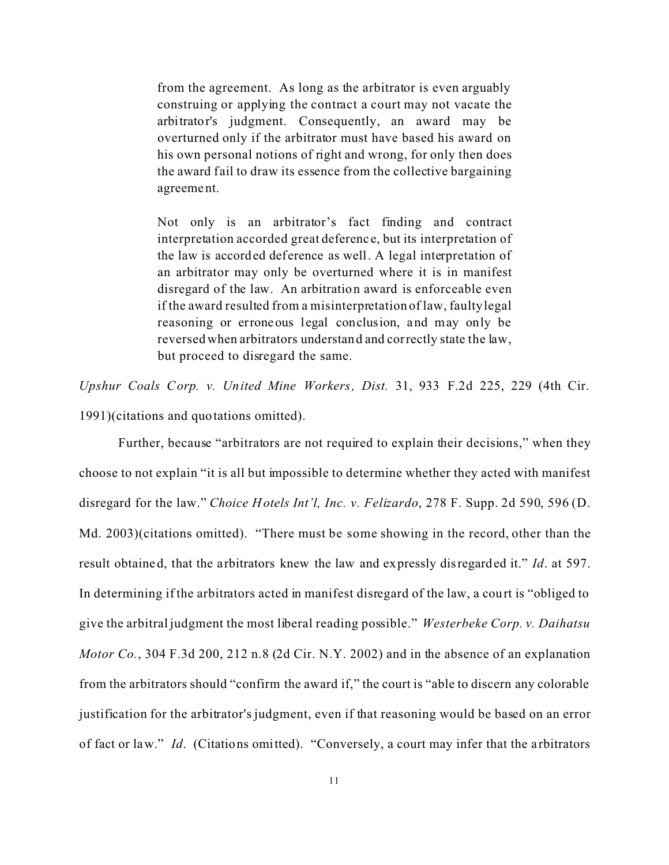from the agreement. As long as the arbitrator is even arguably construing or applying the contract a court may not vacate the arbitrator's judgment. Consequently, an award may be overturned only if the arbitrator must have based his award on his own personal notions of right and wrong, for only then does the award fail to draw its essence from the collective bargaining agreement.

Not only is an arbitrator's fact finding and contract interpretation accorded great deferenc e, but its interpretation of the law is accorded deference as well. A legal interpretation of an arbitrator may only be overturned where it is in manifest disregard of the law. An arbitration award is enforceable even if the award resulted from a misinterpretation of law, faulty legal reasoning or erroneous legal conclusion, and may only be reversed when arbitrators understand and correctly state the law, but proceed to disregard the same.

*Upshur Coals Corp. v. United Mine Workers, Dist.* 31, 933 F.2d 225, 229 (4th Cir. 1991)(citations and quotations omitted).

Further, because "arbitrators are not required to explain their decisions," when they choose to not explain "it is all but impossible to determine whether they acted with manifest disregard for the law." *Choice Hotels Int'l, Inc. v. Felizardo*, 278 F. Supp. 2d 590, 596 (D. Md. 2003)(citations omitted). "There must be some showing in the record, other than the result obtaine d, that the a rbitrators knew the law and expressly disregarded it." *Id*. at 597. In determining if the arbitrators acted in manifest disregard of the law, a court is "obliged to give the arbitral judgment the most liberal reading possible." *Westerbeke Corp. v. Daihatsu Motor Co.*, 304 F.3d 200, 212 n.8 (2d Cir. N.Y. 2002) and in the absence of an explanation from the arbitrators should "confirm the award if," the court is "able to discern any colorable justification for the arbitrator's judgment, even if that reasoning would be based on an error of fact or law." *Id*. (Citations omitted). "Conversely, a court may infer that the a rbitrators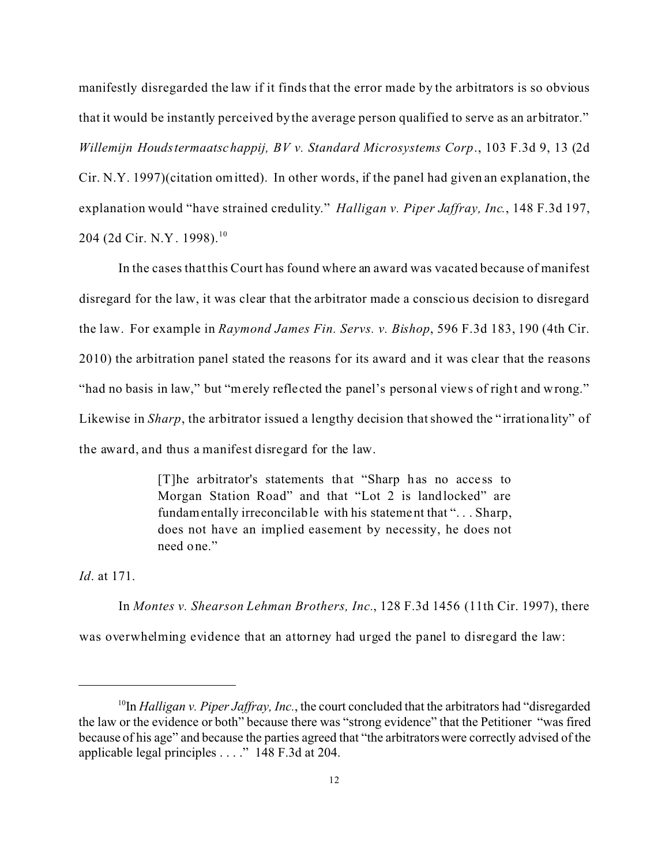manifestly disregarded the law if it finds that the error made by the arbitrators is so obvious that it would be instantly perceived by the average person qualified to serve as an arbitrator." *Willemijn Houdstermaatschappij, BV v. Standard Microsystems Corp*., 103 F.3d 9, 13 (2d Cir. N.Y. 1997)(citation omitted). In other words, if the panel had given an explanation, the explanation would "have strained credulity." *Halligan v. Piper Jaffray, Inc.*, 148 F.3d 197, 204 (2d Cir. N.Y. 1998).<sup>10</sup>

In the cases that this Court has found where an award was vacated because of manifest disregard for the law, it was clear that the arbitrator made a conscious decision to disregard the law. For example in *Raymond James Fin. Servs. v. Bishop*, 596 F.3d 183, 190 (4th Cir. 2010) the arbitration panel stated the reasons for its award and it was clear that the reasons "had no basis in law," but "merely reflected the panel's personal views of right and wrong." Likewise in *Sharp*, the arbitrator issued a lengthy decision that showed the "irrationality" of the award, and thus a manifest disregard for the law.

> [T]he arbitrator's statements that "Sharp has no access to Morgan Station Road" and that "Lot 2 is landlocked" are fundamentally irreconcilable with his statement that "... Sharp, does not have an implied easement by necessity, he does not need one."

*Id*. at 171.

In *Montes v. Shearson Lehman Brothers, Inc.*, 128 F.3d 1456 (11th Cir. 1997), there was overwhelming evidence that an attorney had urged the panel to disregard the law:

<sup>&</sup>lt;sup>10</sup>In *Halligan v. Piper Jaffray, Inc.*, the court concluded that the arbitrators had "disregarded" the law or the evidence or both" because there was "strong evidence" that the Petitioner "was fired because of his age" and because the parties agreed that "the arbitrators were correctly advised of the applicable legal principles . . . ." 148 F.3d at 204.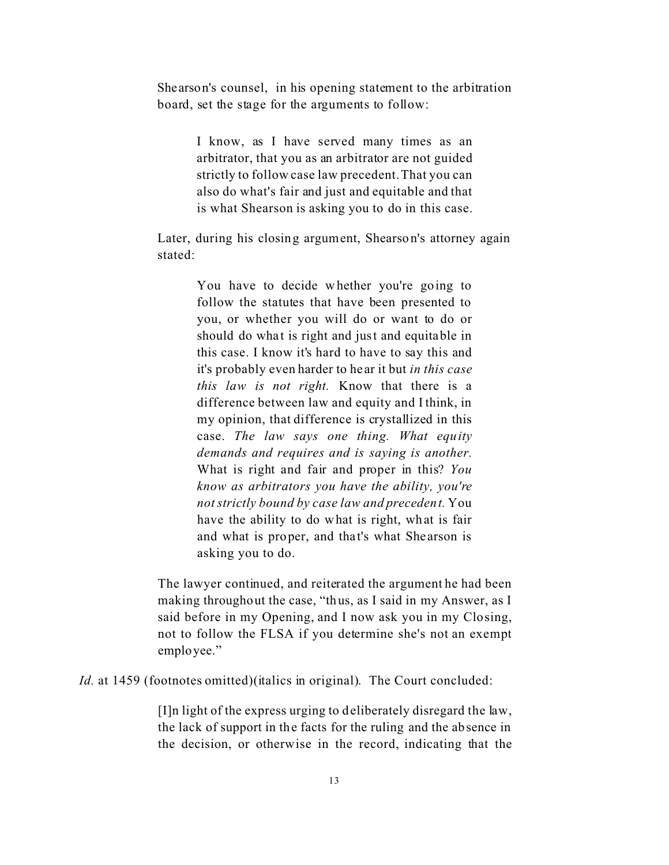Shearson's counsel, in his opening statement to the arbitration board, set the stage for the arguments to follow:

> I know, as I have served many times as an arbitrator, that you as an arbitrator are not guided strictly to follow case law precedent. That you can also do what's fair and just and equitable and that is what Shearson is asking you to do in this case.

Later, during his closing argument, Shearson's attorney again stated:

> You have to decide whether you're going to follow the statutes that have been presented to you, or whether you will do or want to do or should do what is right and just and equitable in this case. I know it's hard to have to say this and it's probably even harder to he ar it but *in this case this law is not right.* Know that there is a difference between law and equity and I think, in my opinion, that difference is crystallized in this case. *The law says one thing. What equity demands and requires and is saying is another.* What is right and fair and proper in this? *You know as arbitrators you have the ability, you're not strictly bound by case law and precedent.* You have the ability to do what is right, what is fair and what is proper, and that's what Shearson is asking you to do.

The lawyer continued, and reiterated the argument he had been making throughout the case, "thus, as I said in my Answer, as I said before in my Opening, and I now ask you in my Closing, not to follow the FLSA if you determine she's not an exempt employee."

*Id.* at 1459 (footnotes omitted) (italics in original). The Court concluded:

[I]n light of the express urging to deliberately disregard the law, the lack of support in the facts for the ruling and the absence in the decision, or otherwise in the record, indicating that the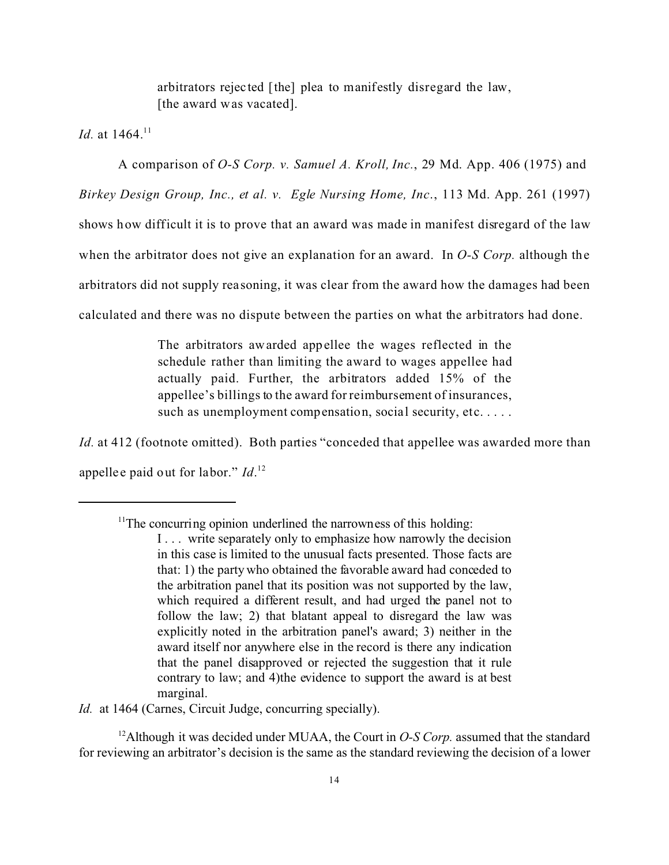arbitrators rejec ted [the] plea to manifestly disregard the law, [the award was vacated].

*Id.* at 1464.<sup>11</sup>

A comparison of *O-S Corp. v. Samuel A. Kroll, Inc.*, 29 Md. App. 406 (1975) and *Birkey Design Group, Inc., et al. v. Egle Nursing Home, Inc*., 113 Md. App. 261 (1997) shows how difficult it is to prove that an award was made in manifest disregard of the law when the arbitrator does not give an explanation for an award. In *O-S Corp.* although the arbitrators did not supply reasoning, it was clear from the award how the damages had been calculated and there was no dispute between the parties on what the arbitrators had done.

> The arbitrators awarded appellee the wages reflected in the schedule rather than limiting the award to wages appellee had actually paid. Further, the arbitrators added 15% of the appellee's billings to the award for reimbursement of insurances, such as unemployment compensation, social security, etc....

*Id.* at 412 (footnote omitted). Both parties "conceded that appellee was awarded more than appellee paid out for labor." *Id*.<sup>12</sup>

*Id.* at 1464 (Carnes, Circuit Judge, concurring specially).

<sup>12</sup>Although it was decided under MUAA, the Court in *O-S Corp.* assumed that the standard for reviewing an arbitrator's decision is the same as the standard reviewing the decision of a lower

 $11$ <sup>11</sup>The concurring opinion underlined the narrowness of this holding:

I... write separately only to emphasize how narrowly the decision in this case is limited to the unusual facts presented. Those facts are that: 1) the party who obtained the favorable award had conceded to the arbitration panel that its position was not supported by the law, which required a different result, and had urged the panel not to follow the law; 2) that blatant appeal to disregard the law was explicitly noted in the arbitration panel's award; 3) neither in the award itself nor anywhere else in the record is there any indication that the panel disapproved or rejected the suggestion that it rule contrary to law; and 4)the evidence to support the award is at best marginal.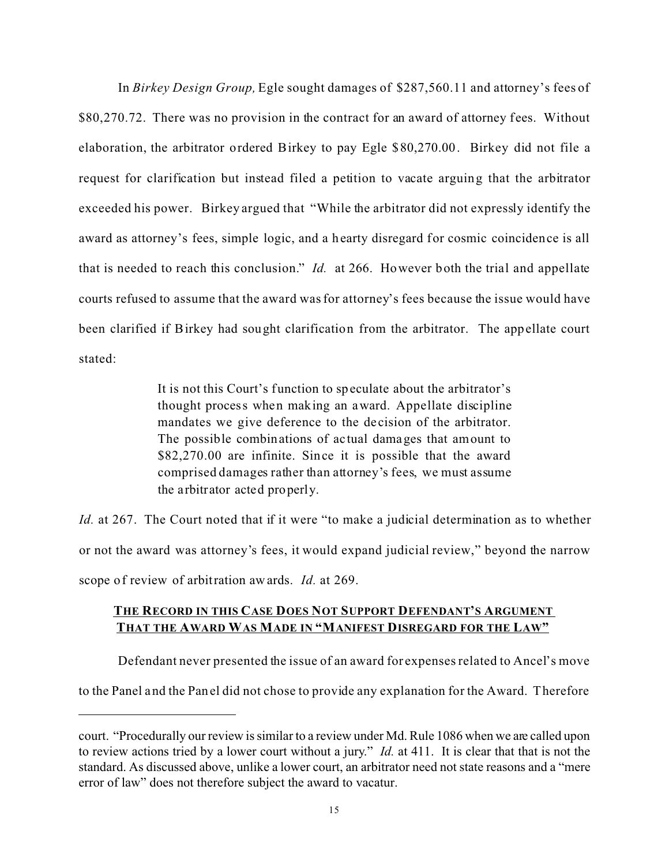In *Birkey Design Group,* Egle sought damages of \$287,560.11 and attorney's fees of \$80,270.72. There was no provision in the contract for an award of attorney fees. Without elaboration, the arbitrator ordered Birkey to pay Egle \$80,270.00. Birkey did not file a request for clarification but instead filed a petition to vacate arguing that the arbitrator exceeded his power. Birkey argued that "While the arbitrator did not expressly identify the award as attorney's fees, simple logic, and a hearty disregard for cosmic coincidence is all that is needed to reach this conclusion." *Id.* at 266. However both the trial and appellate courts refused to assume that the award was for attorney's fees because the issue would have been clarified if Birkey had sought clarification from the arbitrator. The appellate court stated:

> It is not this Court's function to speculate about the arbitrator's thought process when making an award. Appellate discipline mandates we give deference to the de cision of the arbitrator. The possible combinations of ac tual damages that amount to \$82,270.00 are infinite. Since it is possible that the award comprised damages rather than attorney's fees, we must assume the arbitrator acted properly.

*Id.* at 267.The Court noted that if it were "to make a judicial determination as to whether or not the award was attorney's fees, it would expand judicial review," beyond the narrow scope of review of arbitration awards. *Id.* at 269.

# **THE RECORD IN THIS CASE DOES NOT SUPPORT DEFENDANT'S ARGUMENT THAT THE AWARD WAS MADE IN "MANIFEST DISREGARD FOR THE LAW"**

Defendant never presented the issue of an award for expenses related to Ancel's move

to the Panel and the Panel did not chose to provide any explanation for the Award. Therefore

court. "Procedurally our review is similar to a review under Md. Rule 1086 when we are called upon to review actions tried by a lower court without a jury." *Id.* at 411. It is clear that that is not the standard. As discussed above, unlike a lower court, an arbitrator need not state reasons and a "mere error of law" does not therefore subject the award to vacatur.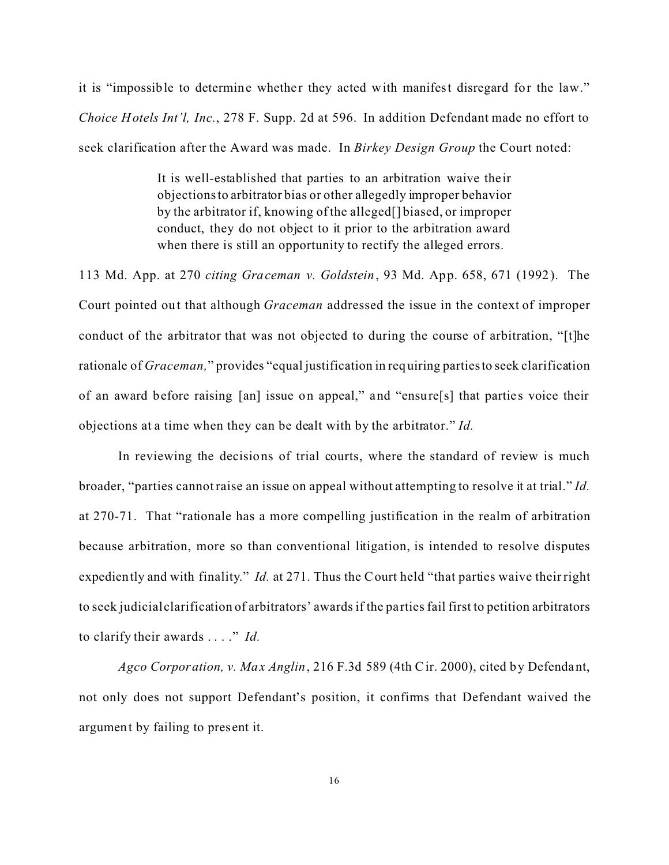it is "impossible to determine whether they acted with manifest disregard for the law." *Choice Hotels Int'l, Inc.*, 278 F. Supp. 2d at 596. In addition Defendant made no effort to seek clarification after the Award was made. In *Birkey Design Group* the Court noted:

> It is well-established that parties to an arbitration waive the ir objections to arbitrator bias or other allegedly improper behavior by the arbitrator if, knowing of the alleged[] biased, or improper conduct, they do not object to it prior to the arbitration award when there is still an opportunity to rectify the alleged errors.

113 Md. App. at 270 *citing Graceman v. Goldstein*, 93 Md. App. 658, 671 (1992). The Court pointed out that although *Graceman* addressed the issue in the context of improper conduct of the arbitrator that was not objected to during the course of arbitration, "[t]he rationale of *Graceman,*" provides "equal justification in requiring partiesto seek clarification of an award before raising [an] issue on appeal," and "ensure[s] that parties voice their objections at a time when they can be dealt with by the arbitrator." *Id.*

In reviewing the decisions of trial courts, where the standard of review is much broader, "parties cannot raise an issue on appeal without attempting to resolve it at trial." *Id.* at 270-71. That "rationale has a more compelling justification in the realm of arbitration because arbitration, more so than conventional litigation, is intended to resolve disputes expediently and with finality." *Id.* at 271. Thus the Court held "that parties waive their right to seek judicial clarification of arbitrators' awards if the pa rties fail first to petition arbitrators to clarify their awards . . . ." *Id.*

*Agco Corporation, v. Max Anglin*, 216 F.3d 589 (4th Cir. 2000), cited by Defendant, not only does not support Defendant's position, it confirms that Defendant waived the argument by failing to pres ent it.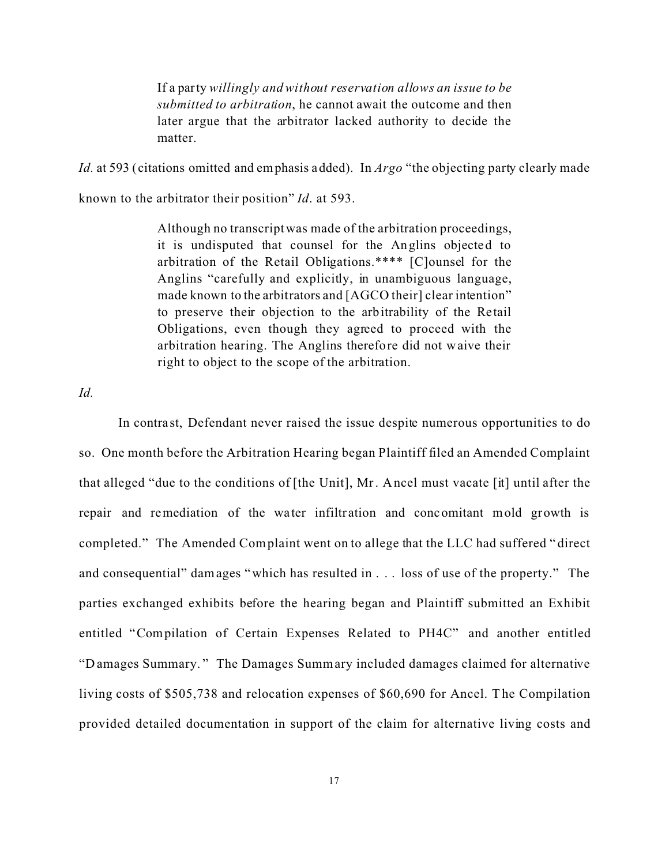If a party *willingly and without reservation allows an issue to be submitted to arbitration*, he cannot await the outcome and then later argue that the arbitrator lacked authority to decide the matter.

*Id.* at 593 (citations omitted and emphasis added). In *Argo* "the objecting party clearly made

known to the arbitrator their position" *Id*. at 593.

Although no transcript was made of the arbitration proceedings, it is undisputed that counsel for the Anglins objected to arbitration of the Retail Obligations.\*\*\*\* [C]ounsel for the Anglins "carefully and explicitly, in unambiguous language, made known to the arbitrators and [AGCO their] clear intention" to preserve their objection to the arbitrability of the Retail Obligations, even though they agreed to proceed with the arbitration hearing. The Anglins therefore did not waive their right to object to the scope of the arbitration.

*Id.* 

In contra st, Defendant never raised the issue despite numerous opportunities to do so. One month before the Arbitration Hearing began Plaintiff filed an Amended Complaint that alleged "due to the conditions of [the Unit], Mr. Ancel must vacate [it] until after the repair and remediation of the water infiltration and concomitant mold growth is completed."The Amended Complaint went on to allege that the LLC had suffered " direct and consequential" damages "which has resulted in . . . loss of use of the property." The parties exchanged exhibits before the hearing began and Plaintiff submitted an Exhibit entitled "Compilation of Certain Expenses Related to PH4C" and another entitled "D amages Summary. " The Damages Summary included damages claimed for alternative living costs of \$505,738 and relocation expenses of \$60,690 for Ancel. The Compilation provided detailed documentation in support of the claim for alternative living costs and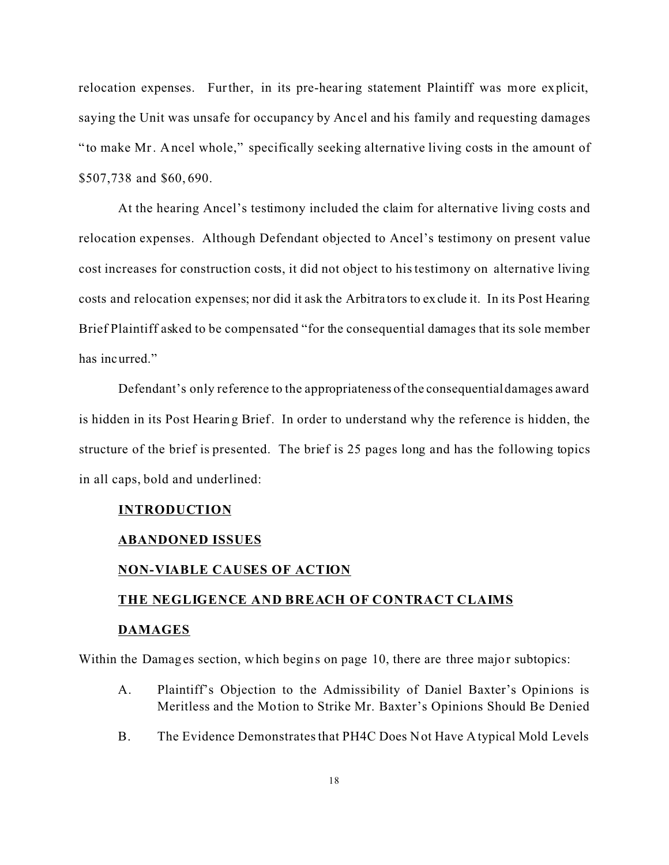relocation expenses. Further, in its pre-hearing statement Plaintiff was more explicit, saying the Unit was unsafe for occupancy by Anc el and his family and requesting damages "to make Mr. Ancel whole," specifically seeking alternative living costs in the amount of \$507,738 and \$60, 690.

At the hearing Ancel's testimony included the claim for alternative living costs and relocation expenses. Although Defendant objected to Ancel's testimony on present value cost increases for construction costs, it did not object to his testimony on alternative living costs and relocation expenses; nor did it ask the Arbitra tors to exclude it. In its Post Hearing Brief Plaintiff asked to be compensated "for the consequential damages that its sole member has incurred."

Defendant's only reference to the appropriateness of the consequentialdamages award is hidden in its Post Hearing Brief. In order to understand why the reference is hidden, the structure of the brief is presented. The brief is 25 pages long and has the following topics in all caps, bold and underlined:

#### **INTRODUCTION**

### **ABANDONED ISSUES**

#### **NON-VIABLE CAUSES OF ACTION**

# **THE NEGLIGENCE AND BREACH OF CONTRACT CLAIMS DAMAGES**

Within the Damages section, which begins on page 10, there are three major subtopics:

- A. Plaintiff's Objection to the Admissibility of Daniel Baxter's Opinions is Meritless and the Motion to Strike Mr. Baxter's Opinions Should Be Denied
- B. The Evidence Demonstrates that PH4C Does Not Have Atypical Mold Levels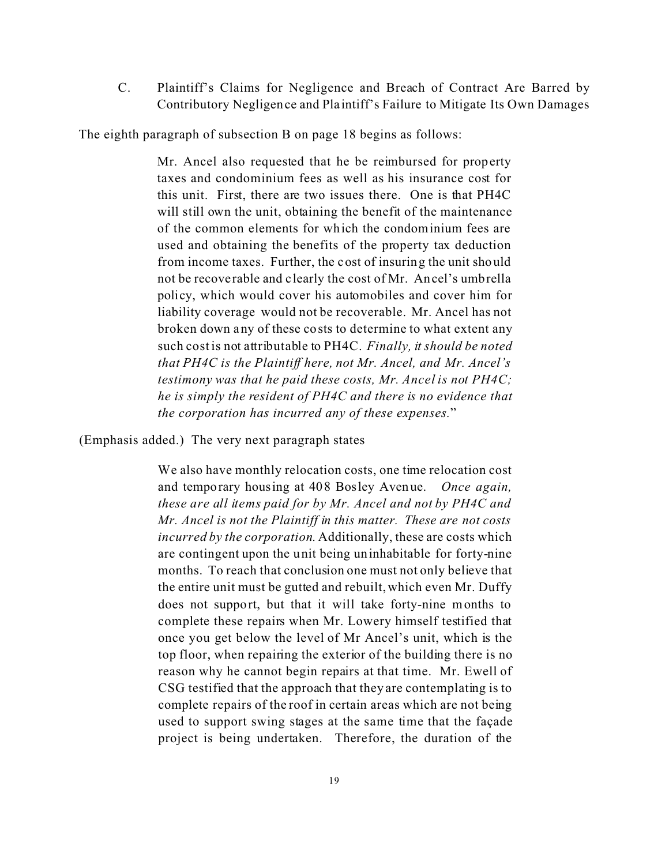C. Plaintiff's Claims for Negligence and Breach of Contract Are Barred by Contributory Negligence and Pla intiff's Failure to Mitigate Its Own Damages

The eighth paragraph of subsection B on page 18 begins as follows:

Mr. Ancel also requested that he be reimbursed for property taxes and condominium fees as well as his insurance cost for this unit. First, there are two issues there. One is that PH4C will still own the unit, obtaining the benefit of the maintenance of the common elements for which the condominium fees are used and obtaining the benefits of the property tax deduction from income taxes. Further, the cost of insuring the unit should not be recove rable and c learly the cost of Mr. Ancel's umbrella policy, which would cover his automobiles and cover him for liability coverage would not be recoverable. Mr. Ancel has not broken down any of these costs to determine to what extent any such cost is not attributable to PH4C. *Finally, it should be noted that PH4C is the Plaintiff here, not Mr. Ancel, and Mr. Ancel's testimony was that he paid these costs, Mr. Ancel is not PH4C; he is simply the resident of PH4C and there is no evidence that the corporation has incurred any of these expenses.*"

(Emphasis added.) The very next paragraph states

We also have monthly relocation costs, one time relocation cost and temporary housing at 408 Bosley Avenue. *Once again, these are all items paid for by Mr. Ancel and not by PH4C and Mr. Ancel is not the Plaintiff in this matter. These are not costs incurred by the corporation*. Additionally, these are costs which are contingent upon the unit being uninhabitable for forty-nine months. To reach that conclusion one must not only believe that the entire unit must be gutted and rebuilt, which even Mr. Duffy does not support, but that it will take forty-nine months to complete these repairs when Mr. Lowery himself testified that once you get below the level of Mr Ancel's unit, which is the top floor, when repairing the exterior of the building there is no reason why he cannot begin repairs at that time. Mr. Ewell of CSG testified that the approach that they are contemplating is to complete repairs of the roof in certain areas which are not being used to support swing stages at the same time that the façade project is being undertaken. Therefore, the duration of the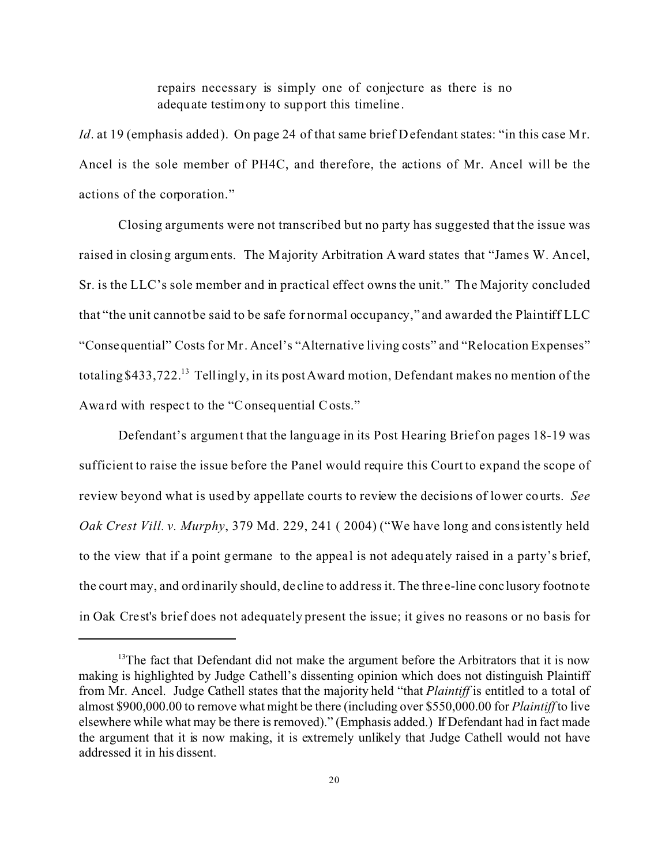repairs necessary is simply one of conjecture as there is no adequate testimony to support this timeline .

*Id.* at 19 (emphasis added). On page 24 of that same brief Defendant states: "in this case Mr. Ancel is the sole member of PH4C, and therefore, the actions of Mr. Ancel will be the actions of the corporation."

Closing arguments were not transcribed but no party has suggested that the issue was raised in closing arguments. The Majority Arbitration Award states that "James W. Ancel, Sr. is the LLC's sole member and in practical effect owns the unit." The Majority concluded that "the unit cannot be said to be safe for normal occupancy," and awarded the Plaintiff LLC "Consequential" Costs for Mr. Ancel's "Alternative living costs" and "Relocation Expenses" totaling \$433,722.<sup>13</sup> Tellingly, in its post Award motion, Defendant makes no mention of the Award with respect to the "Consequential Costs."

Defendant's argument that the language in its Post Hearing Brief on pages 18-19 was sufficient to raise the issue before the Panel would require this Court to expand the scope of review beyond what is used by appellate courts to review the decisions of lower courts. *See Oak Crest Vill. v. Murphy*, 379 Md. 229, 241 ( 2004) ("We have long and consistently held to the view that if a point germane to the appeal is not adequately raised in a party's brief, the court may, and ordinarily should, de cline to address it. The thre e-line conclusory footnote in Oak Crest's brief does not adequately present the issue; it gives no reasons or no basis for

<sup>&</sup>lt;sup>13</sup>The fact that Defendant did not make the argument before the Arbitrators that it is now making is highlighted by Judge Cathell's dissenting opinion which does not distinguish Plaintiff from Mr. Ancel. Judge Cathell states that the majority held "that *Plaintiff* is entitled to a total of almost \$900,000.00 to remove what might be there (including over \$550,000.00 for *Plaintiff* to live elsewhere while what may be there is removed)." (Emphasis added.) If Defendant had in fact made the argument that it is now making, it is extremely unlikely that Judge Cathell would not have addressed it in his dissent.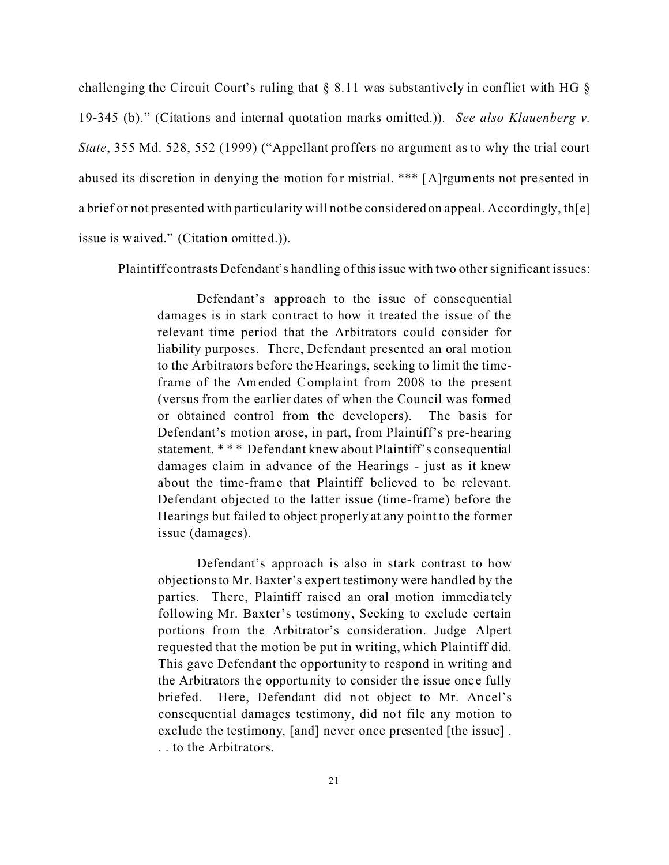challenging the Circuit Court's ruling that § 8.11 was substantively in conflict with HG § 19-345 (b)." (Citations and internal quotation marks omitted.)). *See also Klauenberg v. State*, 355 Md. 528, 552 (1999) ("Appellant proffers no argument as to why the trial court abused its discretion in denying the motion for mistrial. \*\*\* [A]rguments not presented in a brief or not presented with particularity will not be considered on appeal. Accordingly, th[e] issue is waived." (Citation omitted.)).

Plaintiff contrasts Defendant's handling of this issue with two other significant issues:

Defendant's approach to the issue of consequential damages is in stark contract to how it treated the issue of the relevant time period that the Arbitrators could consider for liability purposes. There, Defendant presented an oral motion to the Arbitrators before the Hearings, seeking to limit the timeframe of the Amended Complaint from 2008 to the present (versus from the earlier dates of when the Council was formed or obtained control from the developers). The basis for Defendant's motion arose, in part, from Plaintiff's pre-hearing statement. \* \* \* Defendant knew about Plaintiff's consequential damages claim in advance of the Hearings - just as it knew about the time-frame that Plaintiff believed to be relevant. Defendant objected to the latter issue (time-frame) before the Hearings but failed to object properly at any point to the former issue (damages).

Defendant's approach is also in stark contrast to how objections to Mr. Baxter's expert testimony were handled by the parties. There, Plaintiff raised an oral motion immediately following Mr. Baxter's testimony, Seeking to exclude certain portions from the Arbitrator's consideration. Judge Alpert requested that the motion be put in writing, which Plaintiff did. This gave Defendant the opportunity to respond in writing and the Arbitrators the opportunity to consider the issue once fully briefed. Here, Defendant did not object to Mr. Ancel's consequential damages testimony, did not file any motion to exclude the testimony, [and] never once presented [the issue] . . . to the Arbitrators.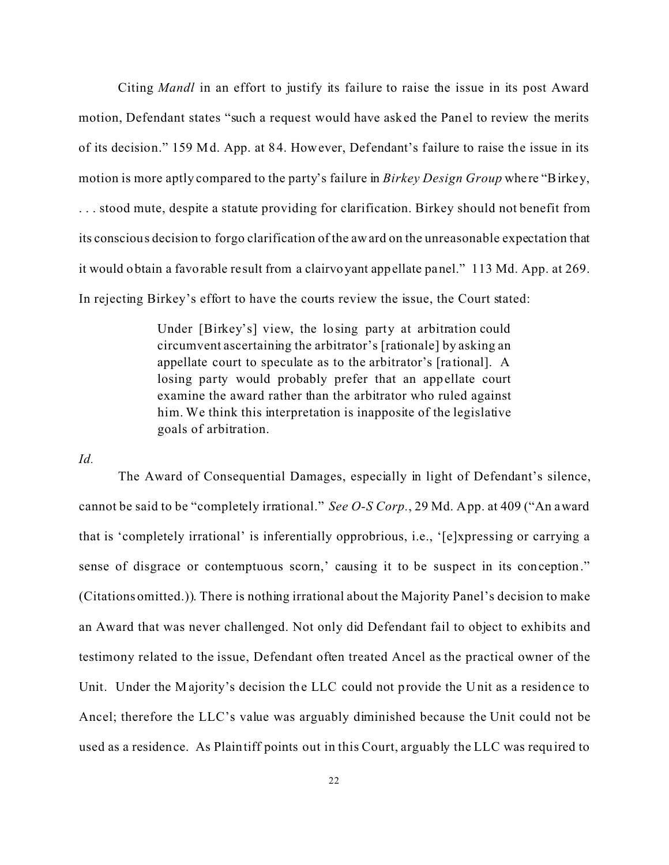Citing *Mandl* in an effort to justify its failure to raise the issue in its post Award motion, Defendant states "such a request would have asked the Panel to review the merits of its decision." 159 Md. App. at 84. However, Defendant's failure to raise the issue in its motion is more aptly compared to the party's failure in *Birkey Design Group* whe re "Birkey, . . . stood mute, despite a statute providing for clarification. Birkey should not benefit from its conscious decision to forgo clarification of the award on the unreasonable expectation that it would obtain a favorable result from a clairvoyant appellate panel." 113 Md. App. at 269. In rejecting Birkey's effort to have the courts review the issue, the Court stated:

> Under [Birkey's] view, the lo sing party at arbitration could circumvent ascertaining the arbitrator's [rationale] by asking an appellate court to speculate as to the arbitrator's [rational]. A losing party would probably prefer that an appellate court examine the award rather than the arbitrator who ruled against him. We think this interpretation is inapposite of the legislative goals of arbitration.

*Id.*

The Award of Consequential Damages, especially in light of Defendant's silence, cannot be said to be "completely irrational." *See O-S Corp.*, 29 Md. App. at 409 ("An award that is 'completely irrational' is inferentially opprobrious, i.e., '[e]xpressing or carrying a sense of disgrace or contemptuous scorn,' causing it to be suspect in its conception." (Citations omitted.)). There is nothing irrational about the Majority Panel's decision to make an Award that was never challenged. Not only did Defendant fail to object to exhibits and testimony related to the issue, Defendant often treated Ancel as the practical owner of the Unit. Under the Majority's decision the LLC could not provide the Unit as a residence to Ancel; therefore the LLC's value was arguably diminished because the Unit could not be used as a residence. As Plaintiff points out in this Court, arguably the LLC was required to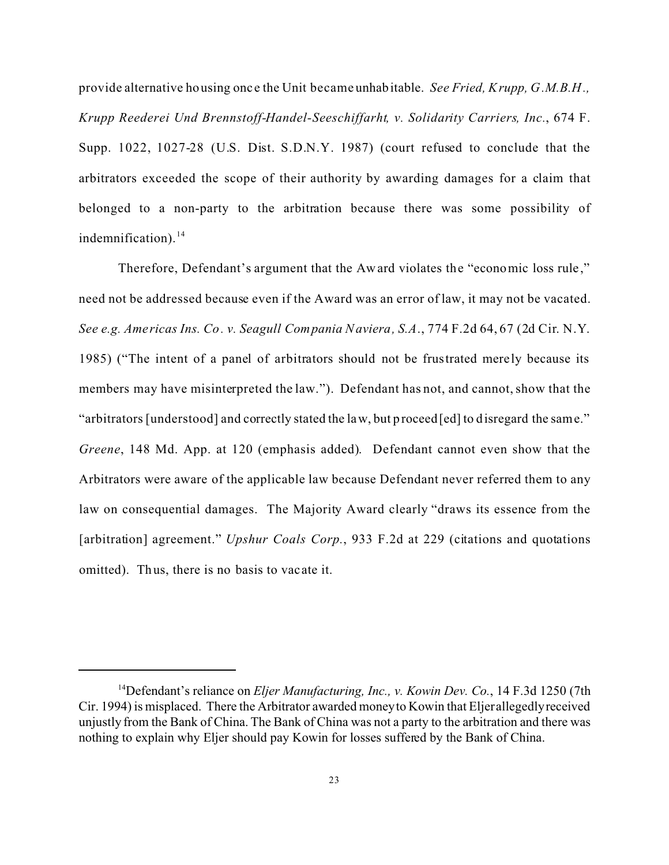provide alternative housing onc e the Unit became unhabitable. *See Fried, Krupp, G.M.B.H., Krupp Reederei Und Brennstoff-Handel-Seeschiffarht, v. Solidarity Carriers, Inc.*, 674 F. Supp. 1022, 1027-28 (U.S. Dist. S.D.N.Y. 1987) (court refused to conclude that the arbitrators exceeded the scope of their authority by awarding damages for a claim that belonged to a non-party to the arbitration because there was some possibility of indemnification). $^{14}$ 

Therefore, Defendant's argument that the Award violates the "economic loss rule," need not be addressed because even if the Award was an error of law, it may not be vacated. *See e.g. Americas Ins. Co. v. Seagull Compania Naviera, S.A*., 774 F.2d 64, 67 (2d Cir. N.Y. 1985) ("The intent of a panel of arbitrators should not be frustrated merely because its members may have misinterpreted the law."). Defendant has not, and cannot, show that the "arbitrators [understood] and correctly stated the law, but proceed[ed] to disregard the same." *Greene*, 148 Md. App. at 120 (emphasis added). Defendant cannot even show that the Arbitrators were aware of the applicable law because Defendant never referred them to any law on consequential damages. The Majority Award clearly "draws its essence from the [arbitration] agreement." *Upshur Coals Corp.*, 933 F.2d at 229 (citations and quotations omitted). Thus, there is no basis to vacate it.

<sup>14</sup>Defendant's reliance on *Eljer Manufacturing, Inc., v. Kowin Dev. Co.*, 14 F.3d 1250 (7th Cir. 1994) is misplaced. There the Arbitrator awarded money to Kowin that Eljer allegedly received unjustly from the Bank of China. The Bank of China was not a party to the arbitration and there was nothing to explain why Eljer should pay Kowin for losses suffered by the Bank of China.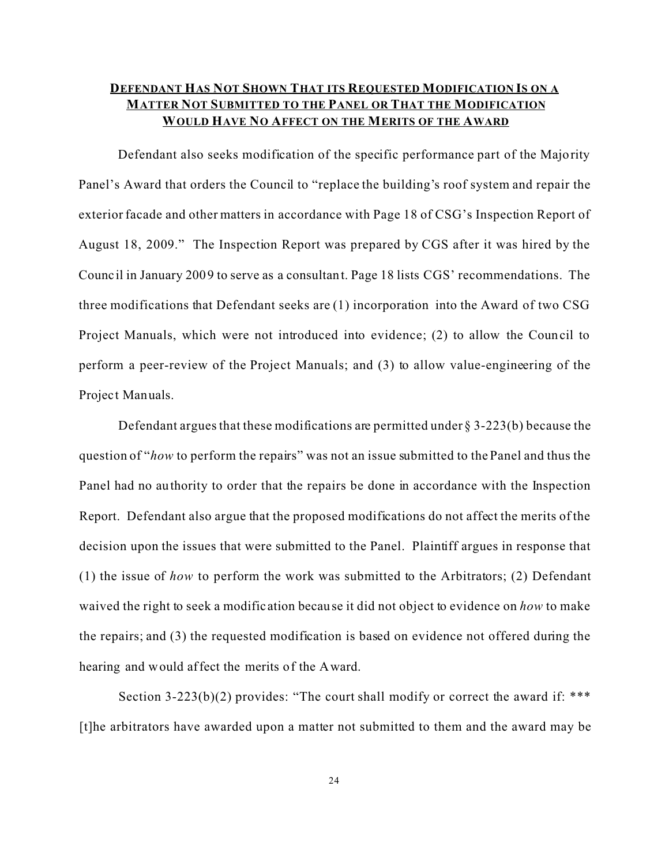# **DEFENDANT HAS NOT SHOWN THAT ITS REQUESTED MODIFICATION IS ON A MATTER NOT SUBMITTED TO THE PANEL OR THAT THE MODIFICATION WOULD HAVE NO AFFECT ON THE MERITS OF THE AWARD**

Defendant also seeks modification of the specific performance part of the Majority Panel's Award that orders the Council to "replace the building's roof system and repair the exterior facade and other matters in accordance with Page 18 of CSG's Inspection Report of August 18, 2009." The Inspection Report was prepared by CGS after it was hired by the Council in January 2009 to serve as a consultant. Page 18 lists CGS' recommendations. The three modifications that Defendant seeks are (1) incorporation into the Award of two CSG Project Manuals, which were not introduced into evidence; (2) to allow the Council to perform a peer-review of the Project Manuals; and (3) to allow value-engineering of the Project Manuals.

Defendant argues that these modifications are permitted under  $\S 3-223(b)$  because the question of "*how* to perform the repairs" was not an issue submitted to the Panel and thus the Panel had no authority to order that the repairs be done in accordance with the Inspection Report. Defendant also argue that the proposed modifications do not affect the merits of the decision upon the issues that were submitted to the Panel. Plaintiff argues in response that (1) the issue of *how* to perform the work was submitted to the Arbitrators; (2) Defendant waived the right to seek a modification because it did not object to evidence on *how* to make the repairs; and (3) the requested modification is based on evidence not offered during the hearing and would affect the merits of the Award.

Section 3-223(b)(2) provides: "The court shall modify or correct the award if: \*\*\* [t]he arbitrators have awarded upon a matter not submitted to them and the award may be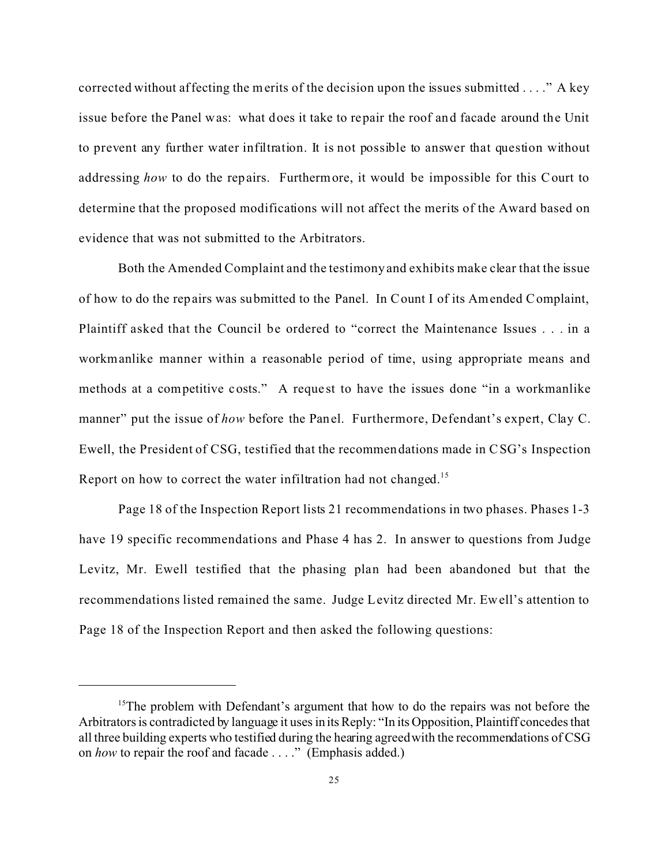corrected without affecting the merits of the decision upon the issues submitted . . . ." A key issue before the Panel was: what does it take to repair the roof and facade around the Unit to prevent any further water infiltration. It is not possible to answer that question without addressing *how* to do the repairs. Furthermore, it would be impossible for this Court to determine that the proposed modifications will not affect the merits of the Award based on evidence that was not submitted to the Arbitrators.

Both the Amended Complaint and the testimony and exhibits make clear that the issue of how to do the repairs was submitted to the Panel. In Count I of its Amended Complaint, Plaintiff asked that the Council be ordered to "correct the Maintenance Issues . . . in a workmanlike manner within a reasonable period of time, using appropriate means and methods at a competitive costs." A request to have the issues done "in a workmanlike" manner" put the issue of *how* before the Panel. Furthermore, Defendant's expert, Clay C. Ewell, the President of CSG, testified that the recommendations made in CSG's Inspection Report on how to correct the water infiltration had not changed.<sup>15</sup>

Page 18 of the Inspection Report lists 21 recommendations in two phases. Phases 1-3 have 19 specific recommendations and Phase 4 has 2. In answer to questions from Judge Levitz, Mr. Ewell testified that the phasing plan had been abandoned but that the recommendations listed remained the same. Judge Levitz directed Mr. Ewell's attention to Page 18 of the Inspection Report and then asked the following questions:

<sup>&</sup>lt;sup>15</sup>The problem with Defendant's argument that how to do the repairs was not before the Arbitrators is contradicted by language it uses in its Reply: "In its Opposition, Plaintiff concedes that all three building experts who testified during the hearing agreed with the recommendations of CSG on *how* to repair the roof and facade . . . ." (Emphasis added.)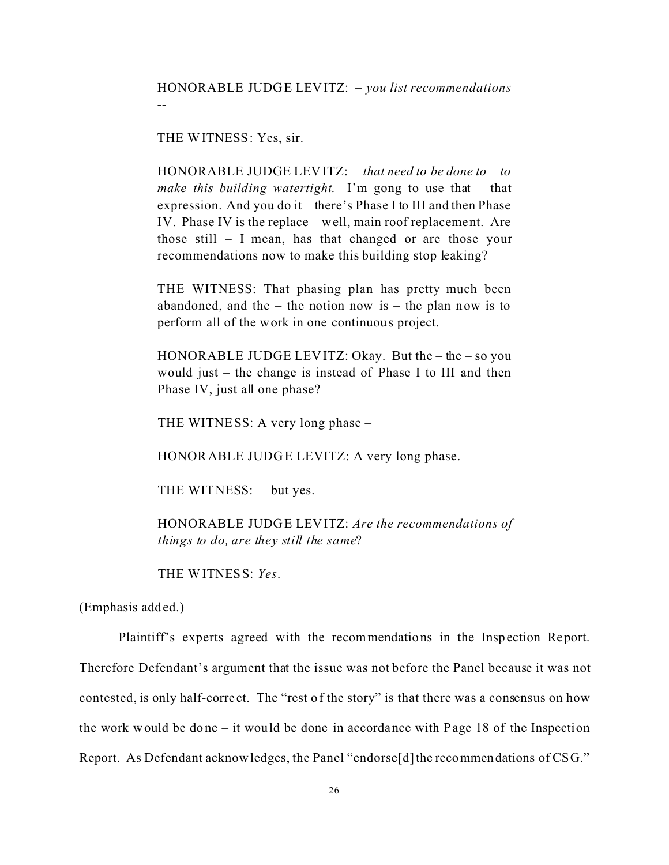THE WITNESS: Yes, sir.

--

HONORABLE JUDGE LEVITZ: – *that need to be done to – to make this building watertight*. I'm gong to use that – that expression. And you do it – there's Phase I to III and then Phase IV. Phase IV is the replace – well, main roof replacement. Are those still – I mean, has that changed or are those your recommendations now to make this building stop leaking?

THE WITNESS: That phasing plan has pretty much been abandoned, and the  $-$  the notion now is  $-$  the plan now is to perform all of the work in one continuous project.

HONORABLE JUDGE LEVITZ: Okay. But the  $-$  the  $-$  so you would just – the change is instead of Phase I to III and then Phase IV, just all one phase?

THE WITNESS: A very long phase –

HONORABLE JUDGE LEVITZ: A very long phase.

THE WITNESS: – but yes.

HONORABLE JUDGE LEVITZ: *Are the recommendations of things to do, are they still the same*?

THE WITNESS: *Yes*.

(Emphasis added.)

Plaintiff's experts agreed with the recommendations in the Inspection Report. Therefore Defendant's argument that the issue was not before the Panel because it was not contested, is only half-corre ct. The "rest of the story" is that there was a consensus on how the work would be done – it would be done in accordance with Page 18 of the Inspection Report. As Defendant acknowledges, the Panel "endorse<sup>[d]</sup> the recommendations of CSG."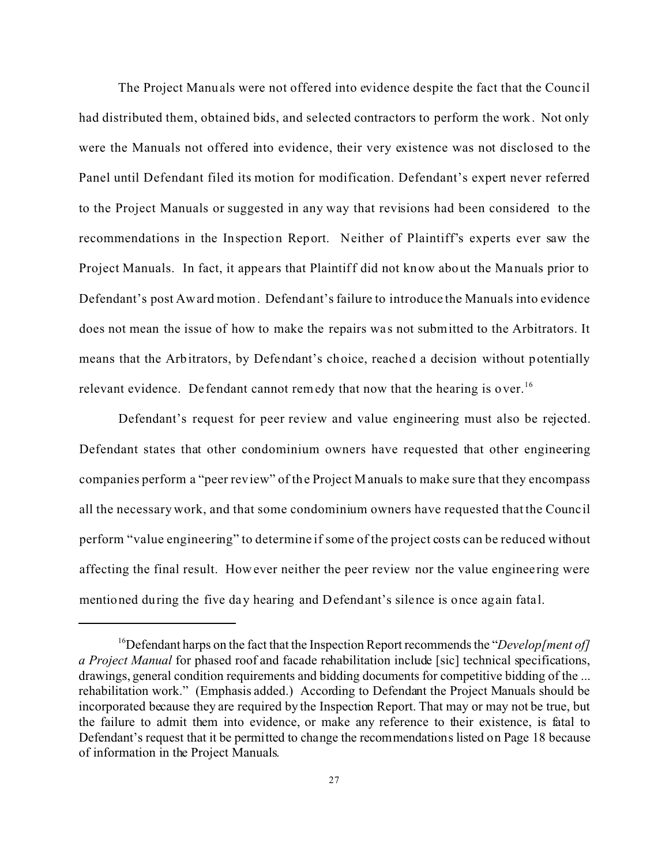The Project Manuals were not offered into evidence despite the fact that the Council had distributed them, obtained bids, and selected contractors to perform the work. Not only were the Manuals not offered into evidence, their very existence was not disclosed to the Panel until Defendant filed its motion for modification. Defendant's expert never referred to the Project Manuals or suggested in any way that revisions had been considered to the recommendations in the Inspection Report. Neither of Plaintiff's experts ever saw the Project Manuals. In fact, it appe ars that Plaintiff did not know about the Manuals prior to Defendant's post Award motion. Defendant's failure to introduce the Manuals into evidence does not mean the issue of how to make the repairs was not submitted to the Arbitrators. It means that the Arbitrators, by Defendant's choice, reached a decision without potentially relevant evidence. De fendant cannot remedy that now that the hearing is over.<sup>16</sup>

Defendant's request for peer review and value engineering must also be rejected. Defendant states that other condominium owners have requested that other engineering companies perform a "peer review" of the Project Manuals to make sure that they encompass all the necessary work, and that some condominium owners have requested that the Council perform "value engineering" to determine if some of the project costs can be reduced without affecting the final result. However neither the peer review nor the value enginee ring were mentioned during the five day hearing and Defendant's silence is once again fatal.

<sup>&</sup>lt;sup>16</sup>Defendant harps on the fact that the Inspection Report recommends the "*Develop[ment of] a Project Manual* for phased roof and facade rehabilitation include [sic] technical specifications, drawings, general condition requirements and bidding documents for competitive bidding of the ... rehabilitation work." (Emphasis added.) According to Defendant the Project Manuals should be incorporated because they are required by the Inspection Report. That may or may not be true, but the failure to admit them into evidence, or make any reference to their existence, is fatal to Defendant's request that it be permitted to change the recommendations listed on Page 18 because of information in the Project Manuals.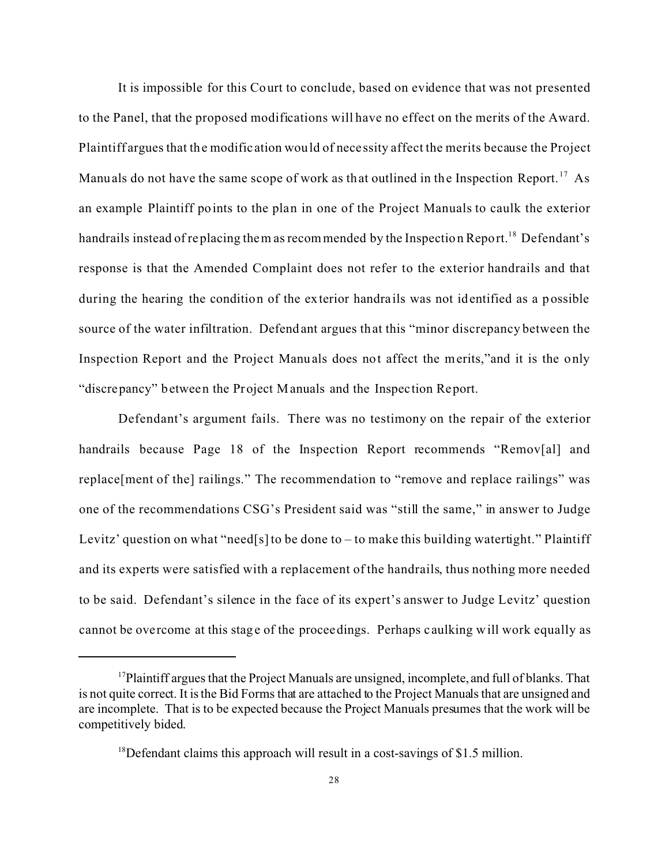It is impossible for this Court to conclude, based on evidence that was not presented to the Panel, that the proposed modifications will have no effect on the merits of the Award. Plaintiff argues that the modification would of nece ssity affect the merits because the Project Manuals do not have the same scope of work as that outlined in the Inspection Report.<sup>17</sup> As an example Plaintiff points to the plan in one of the Project Manuals to caulk the exterior handrails instead of replacing them as recommended by the Inspection Report.<sup>18</sup> Defendant's response is that the Amended Complaint does not refer to the exterior handrails and that during the hearing the condition of the exterior handra ils was not identified as a possible source of the water infiltration. Defendant argues that this "minor discrepancy between the Inspection Report and the Project Manuals does not affect the merits,"and it is the only "discrepancy" between the Project Manuals and the Inspection Report.

Defendant's argument fails. There was no testimony on the repair of the exterior handrails because Page 18 of the Inspection Report recommends "Remov[al] and replace[ment of the] railings." The recommendation to "remove and replace railings" was one of the recommendations CSG's President said was "still the same," in answer to Judge Levitz' question on what "need[s] to be done to – to make this building watertight." Plaintiff and its experts were satisfied with a replacement of the handrails, thus nothing more needed to be said. Defendant's silence in the face of its expert's answer to Judge Levitz' question cannot be ove rcome at this stage of the proceedings. Perhaps c aulking will work equally as

<sup>&</sup>lt;sup>17</sup>Plaintiff argues that the Project Manuals are unsigned, incomplete, and full of blanks. That is not quite correct. It is the Bid Forms that are attached to the Project Manuals that are unsigned and are incomplete. That is to be expected because the Project Manuals presumes that the work will be competitively bided.

 $18$  Defendant claims this approach will result in a cost-savings of \$1.5 million.